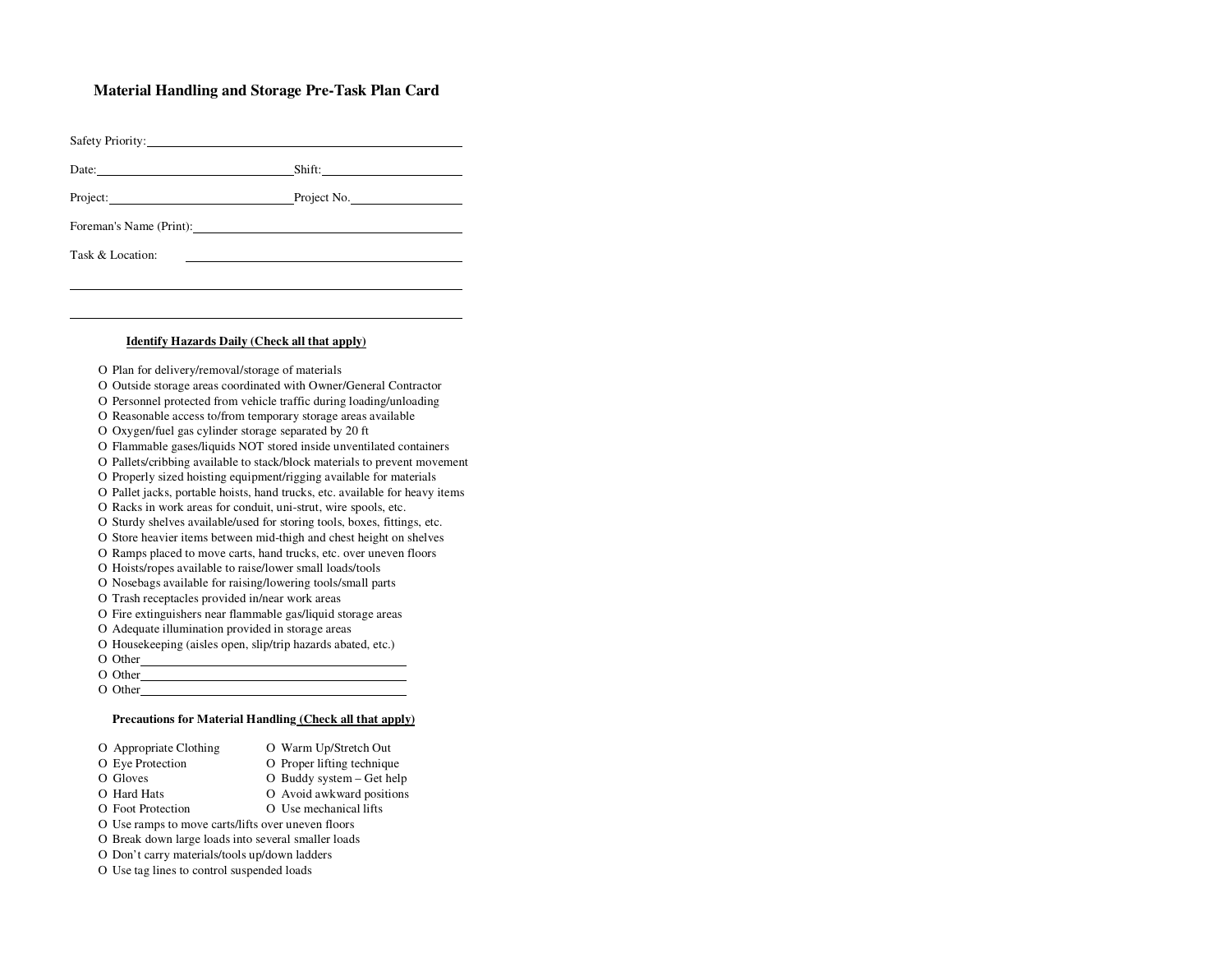## **Material Handling and Storage Pre-Task Plan Card**

| Safety Priority:                                                                                                                                                                                                               |
|--------------------------------------------------------------------------------------------------------------------------------------------------------------------------------------------------------------------------------|
|                                                                                                                                                                                                                                |
| Project: Project No.                                                                                                                                                                                                           |
| Foreman's Name (Print): 2008 2010 12:00 12:00 12:00 12:00 12:00 12:00 12:00 12:00 12:00 12:00 12:00 12:00 12:00 12:00 12:00 12:00 12:00 12:00 12:00 12:00 12:00 12:00 12:00 12:00 12:00 12:00 12:00 12:00 12:00 12:00 12:00 12 |
|                                                                                                                                                                                                                                |
|                                                                                                                                                                                                                                |
| Date: $\frac{1}{\sqrt{1-\frac{1}{2}}\left(\frac{1}{2}-\frac{1}{2}\right)}$                                                                                                                                                     |

## **Identify Hazards Daily (Check all that apply)**

Ο Plan for delivery/removal/storage of materials

Ο Outside storage areas coordinated with Owner/General Contractor

Ο Personnel protected from vehicle traffic during loading/unloading

Ο Reasonable access to/from temporary storage areas available

Ο Oxygen/fuel gas cylinder storage separated by 20 ft

Ο Flammable gases/liquids NOT stored inside unventilated containers

Ο Pallets/cribbing available to stack/block materials to preven<sup>t</sup> movement

Ο Properly sized hoisting equipment/rigging available for materials

Ο Pallet jacks, portable hoists, hand trucks, etc. available for heavy items

Ο Racks in work areas for conduit, uni-strut, wire spools, etc.

Ο Sturdy shelves available/used for storing tools, boxes, fittings, etc. Ο Store heavier items between mid-thigh and chest height on shelves

Ο Ramps placed to move carts, hand trucks, etc. over uneven floors

Ο Hoists/ropes available to raise/lower small loads/tools

Ο Nosebags available for raising/lowering tools/small parts

Ο Trash receptacles provided in/near work areas

Ο Fire extinguishers near flammable gas/liquid storage areas

Ο Adequate illumination provided in storage areas

Ο Housekeeping (aisles open, slip/trip hazards abated, etc.)

Ο Other

Ο Other

Ο Other

## **Precautions for Material Handling (Check all that apply)**

| O Appropriate Clothing                              | O Warm Up/Stretch Out      |
|-----------------------------------------------------|----------------------------|
| O Eye Protection                                    | O Proper lifting technique |
| O Gloves                                            | O Buddy system – Get help  |
| O Hard Hats                                         | O Avoid awkward positions  |
| O Foot Protection                                   | O Use mechanical lifts     |
| O Use ramps to move carts/lifts over uneven floors  |                            |
| O Break down large loads into several smaller loads |                            |
| O Don't carry materials/tools up/down ladders       |                            |
| O Use tag lines to control suspended loads          |                            |